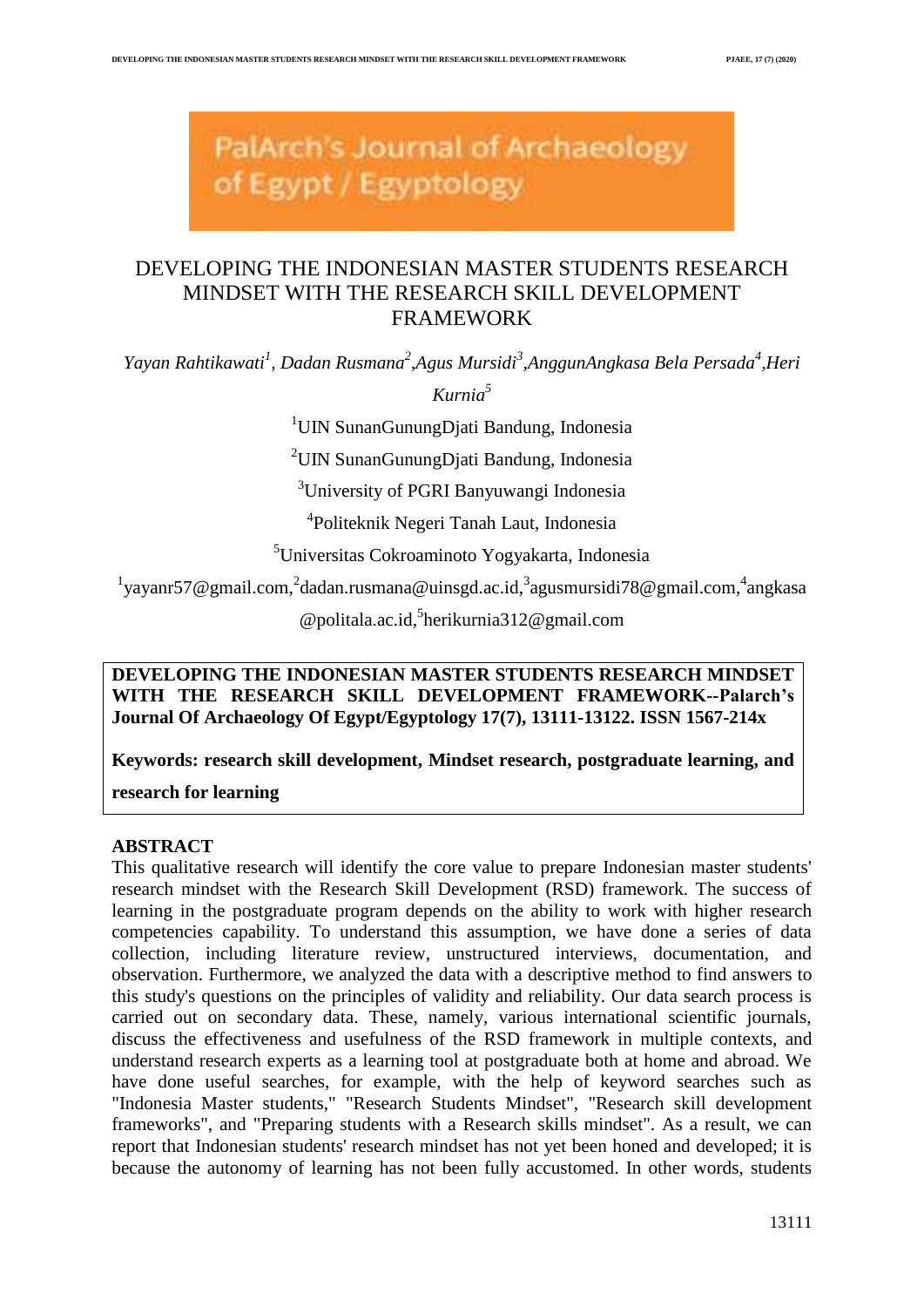PalArch's Journal of Archaeology of Egypt / Egyptology

# DEVELOPING THE INDONESIAN MASTER STUDENTS RESEARCH MINDSET WITH THE RESEARCH SKILL DEVELOPMENT FRAMEWORK

*Yayan Rahtikawati<sup>1</sup> , Dadan Rusmana<sup>2</sup> ,Agus Mursidi<sup>3</sup> ,AnggunAngkasa Bela Persada<sup>4</sup> ,Heri* 

*Kurnia<sup>5</sup>*

<sup>1</sup>UIN SunanGunungDjati Bandung, Indonesia

<sup>2</sup>UIN SunanGunungDjati Bandung, Indonesia

<sup>3</sup>University of PGRI Banyuwangi Indonesia

4 Politeknik Negeri Tanah Laut, Indonesia

<sup>5</sup>Universitas Cokroaminoto Yogyakarta, Indonesia

<sup>1</sup>[yayanr57@gmail.com,](mailto:yayanr57@gmail.com)<sup>2</sup>[dadan.rusmana@uinsgd.ac.id,](mailto:dadan.rusmana@uinsgd.ac.id)<sup>3</sup>[agusmursidi78@gmail.com,](mailto:agusmursidi78@gmail.com)<sup>4</sup>[angkasa](mailto:angkasa@politala.ac.id)

[@politala.ac.id,](mailto:angkasa@politala.ac.id) 5 [herikurnia312@gmail.com](mailto:herikurnia312@gmail.com)

**DEVELOPING THE INDONESIAN MASTER STUDENTS RESEARCH MINDSET WITH THE RESEARCH SKILL DEVELOPMENT FRAMEWORK--Palarch's Journal Of Archaeology Of Egypt/Egyptology 17(7), 13111-13122. ISSN 1567-214x**

**Keywords: research skill development, Mindset research, postgraduate learning, and** 

**research for learning**

# **ABSTRACT**

This qualitative research will identify the core value to prepare Indonesian master students' research mindset with the Research Skill Development (RSD) framework. The success of learning in the postgraduate program depends on the ability to work with higher research competencies capability. To understand this assumption, we have done a series of data collection, including literature review, unstructured interviews, documentation, and observation. Furthermore, we analyzed the data with a descriptive method to find answers to this study's questions on the principles of validity and reliability. Our data search process is carried out on secondary data. These, namely, various international scientific journals, discuss the effectiveness and usefulness of the RSD framework in multiple contexts, and understand research experts as a learning tool at postgraduate both at home and abroad. We have done useful searches, for example, with the help of keyword searches such as "Indonesia Master students," "Research Students Mindset", "Research skill development frameworks", and "Preparing students with a Research skills mindset". As a result, we can report that Indonesian students' research mindset has not yet been honed and developed; it is because the autonomy of learning has not been fully accustomed. In other words, students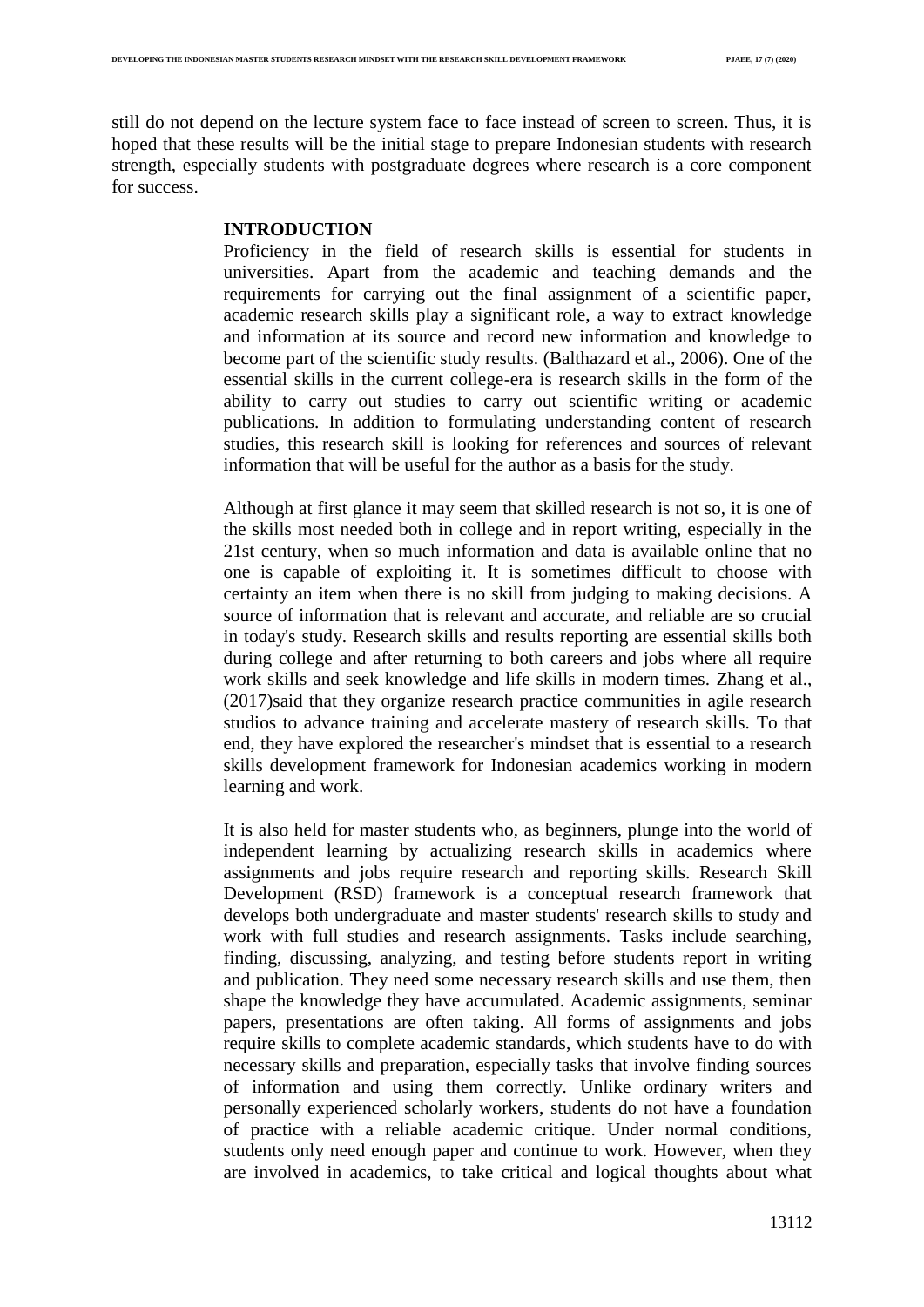still do not depend on the lecture system face to face instead of screen to screen. Thus, it is hoped that these results will be the initial stage to prepare Indonesian students with research strength, especially students with postgraduate degrees where research is a core component for success.

# **INTRODUCTION**

Proficiency in the field of research skills is essential for students in universities. Apart from the academic and teaching demands and the requirements for carrying out the final assignment of a scientific paper, academic research skills play a significant role, a way to extract knowledge and information at its source and record new information and knowledge to become part of the scientific study results. (Balthazard et al., 2006). One of the essential skills in the current college-era is research skills in the form of the ability to carry out studies to carry out scientific writing or academic publications. In addition to formulating understanding content of research studies, this research skill is looking for references and sources of relevant information that will be useful for the author as a basis for the study.

Although at first glance it may seem that skilled research is not so, it is one of the skills most needed both in college and in report writing, especially in the 21st century, when so much information and data is available online that no one is capable of exploiting it. It is sometimes difficult to choose with certainty an item when there is no skill from judging to making decisions. A source of information that is relevant and accurate, and reliable are so crucial in today's study. Research skills and results reporting are essential skills both during college and after returning to both careers and jobs where all require work skills and seek knowledge and life skills in modern times. Zhang et al., (2017)said that they organize research practice communities in agile research studios to advance training and accelerate mastery of research skills. To that end, they have explored the researcher's mindset that is essential to a research skills development framework for Indonesian academics working in modern learning and work.

It is also held for master students who, as beginners, plunge into the world of independent learning by actualizing research skills in academics where assignments and jobs require research and reporting skills. Research Skill Development (RSD) framework is a conceptual research framework that develops both undergraduate and master students' research skills to study and work with full studies and research assignments. Tasks include searching, finding, discussing, analyzing, and testing before students report in writing and publication. They need some necessary research skills and use them, then shape the knowledge they have accumulated. Academic assignments, seminar papers, presentations are often taking. All forms of assignments and jobs require skills to complete academic standards, which students have to do with necessary skills and preparation, especially tasks that involve finding sources of information and using them correctly. Unlike ordinary writers and personally experienced scholarly workers, students do not have a foundation of practice with a reliable academic critique. Under normal conditions, students only need enough paper and continue to work. However, when they are involved in academics, to take critical and logical thoughts about what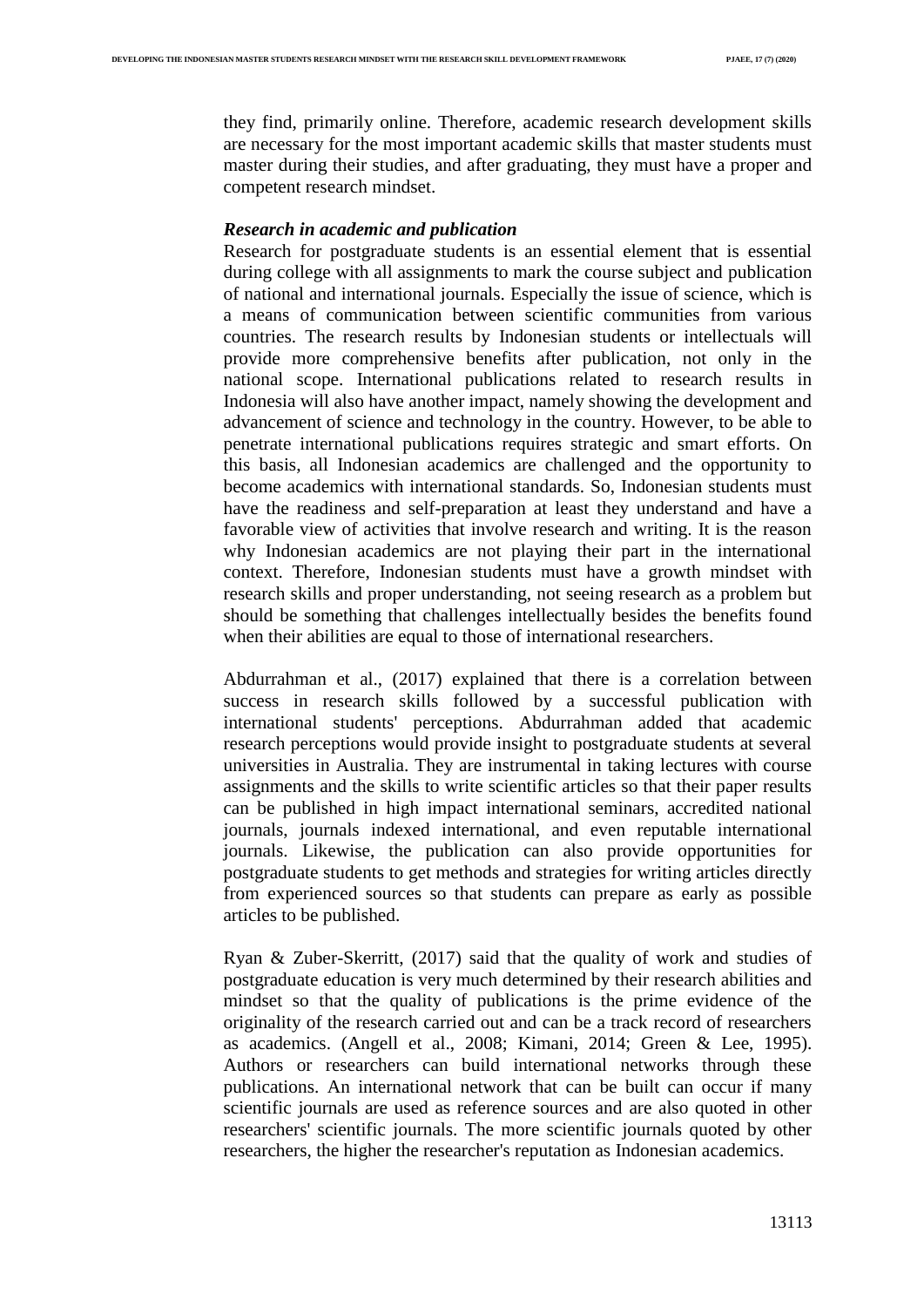they find, primarily online. Therefore, academic research development skills are necessary for the most important academic skills that master students must master during their studies, and after graduating, they must have a proper and competent research mindset.

#### *Research in academic and publication*

Research for postgraduate students is an essential element that is essential during college with all assignments to mark the course subject and publication of national and international journals. Especially the issue of science, which is a means of communication between scientific communities from various countries. The research results by Indonesian students or intellectuals will provide more comprehensive benefits after publication, not only in the national scope. International publications related to research results in Indonesia will also have another impact, namely showing the development and advancement of science and technology in the country. However, to be able to penetrate international publications requires strategic and smart efforts. On this basis, all Indonesian academics are challenged and the opportunity to become academics with international standards. So, Indonesian students must have the readiness and self-preparation at least they understand and have a favorable view of activities that involve research and writing. It is the reason why Indonesian academics are not playing their part in the international context. Therefore, Indonesian students must have a growth mindset with research skills and proper understanding, not seeing research as a problem but should be something that challenges intellectually besides the benefits found when their abilities are equal to those of international researchers.

Abdurrahman et al., (2017) explained that there is a correlation between success in research skills followed by a successful publication with international students' perceptions. Abdurrahman added that academic research perceptions would provide insight to postgraduate students at several universities in Australia. They are instrumental in taking lectures with course assignments and the skills to write scientific articles so that their paper results can be published in high impact international seminars, accredited national journals, journals indexed international, and even reputable international journals. Likewise, the publication can also provide opportunities for postgraduate students to get methods and strategies for writing articles directly from experienced sources so that students can prepare as early as possible articles to be published.

Ryan & Zuber-Skerritt, (2017) said that the quality of work and studies of postgraduate education is very much determined by their research abilities and mindset so that the quality of publications is the prime evidence of the originality of the research carried out and can be a track record of researchers as academics. (Angell et al., 2008; Kimani, 2014; Green & Lee, 1995). Authors or researchers can build international networks through these publications. An international network that can be built can occur if many scientific journals are used as reference sources and are also quoted in other researchers' scientific journals. The more scientific journals quoted by other researchers, the higher the researcher's reputation as Indonesian academics.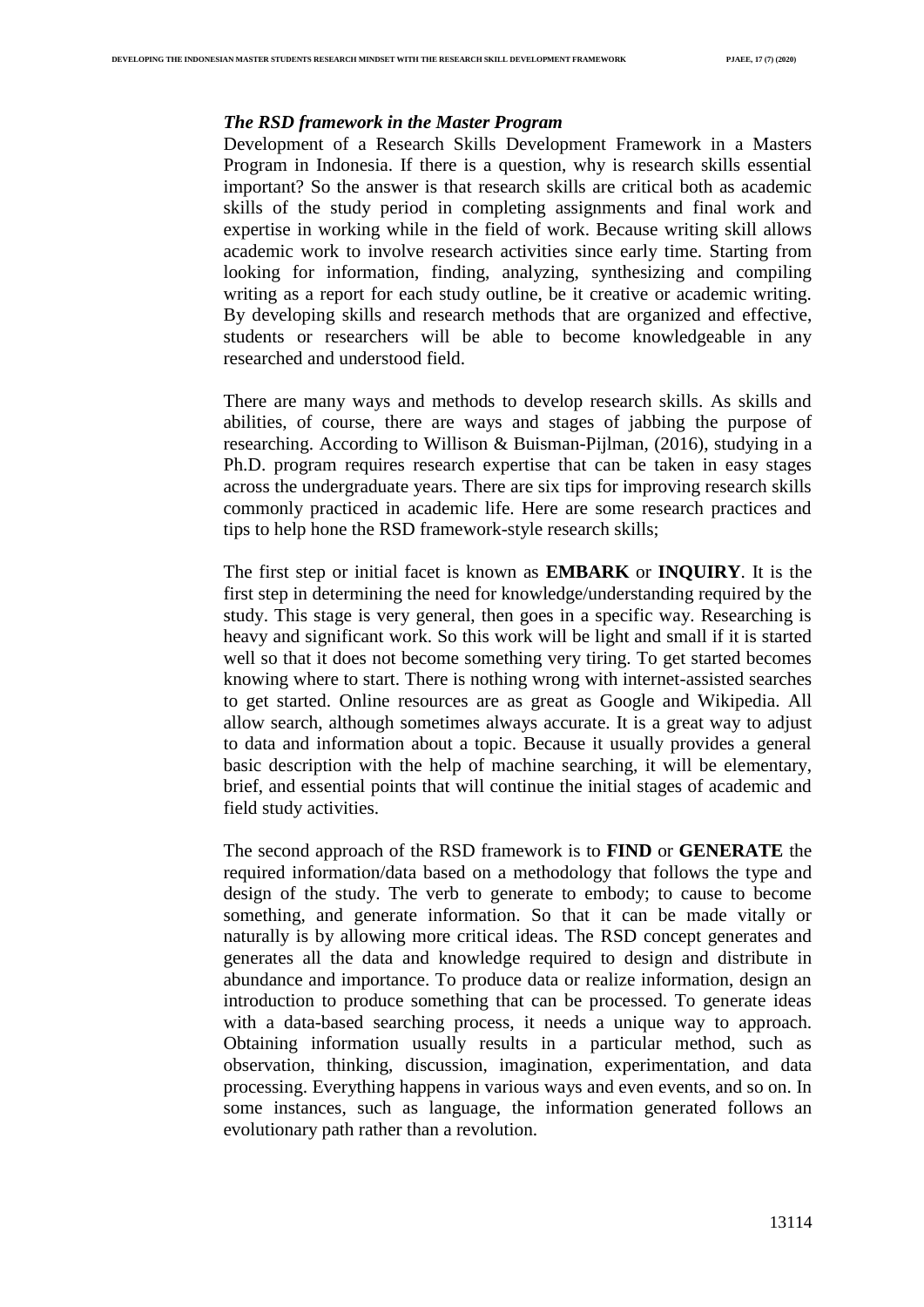# *The RSD framework in the Master Program*

Development of a Research Skills Development Framework in a Masters Program in Indonesia. If there is a question, why is research skills essential important? So the answer is that research skills are critical both as academic skills of the study period in completing assignments and final work and expertise in working while in the field of work. Because writing skill allows academic work to involve research activities since early time. Starting from looking for information, finding, analyzing, synthesizing and compiling writing as a report for each study outline, be it creative or academic writing. By developing skills and research methods that are organized and effective, students or researchers will be able to become knowledgeable in any researched and understood field.

There are many ways and methods to develop research skills. As skills and abilities, of course, there are ways and stages of jabbing the purpose of researching. According to Willison & Buisman-Pijlman, (2016), studying in a Ph.D. program requires research expertise that can be taken in easy stages across the undergraduate years. There are six tips for improving research skills commonly practiced in academic life. Here are some research practices and tips to help hone the RSD framework-style research skills;

The first step or initial facet is known as **EMBARK** or **INQUIRY**. It is the first step in determining the need for knowledge/understanding required by the study. This stage is very general, then goes in a specific way. Researching is heavy and significant work. So this work will be light and small if it is started well so that it does not become something very tiring. To get started becomes knowing where to start. There is nothing wrong with internet-assisted searches to get started. Online resources are as great as Google and Wikipedia. All allow search, although sometimes always accurate. It is a great way to adjust to data and information about a topic. Because it usually provides a general basic description with the help of machine searching, it will be elementary, brief, and essential points that will continue the initial stages of academic and field study activities.

The second approach of the RSD framework is to **FIND** or **GENERATE** the required information/data based on a methodology that follows the type and design of the study. The verb to generate to embody; to cause to become something, and generate information. So that it can be made vitally or naturally is by allowing more critical ideas. The RSD concept generates and generates all the data and knowledge required to design and distribute in abundance and importance. To produce data or realize information, design an introduction to produce something that can be processed. To generate ideas with a data-based searching process, it needs a unique way to approach. Obtaining information usually results in a particular method, such as observation, thinking, discussion, imagination, experimentation, and data processing. Everything happens in various ways and even events, and so on. In some instances, such as language, the information generated follows an evolutionary path rather than a revolution.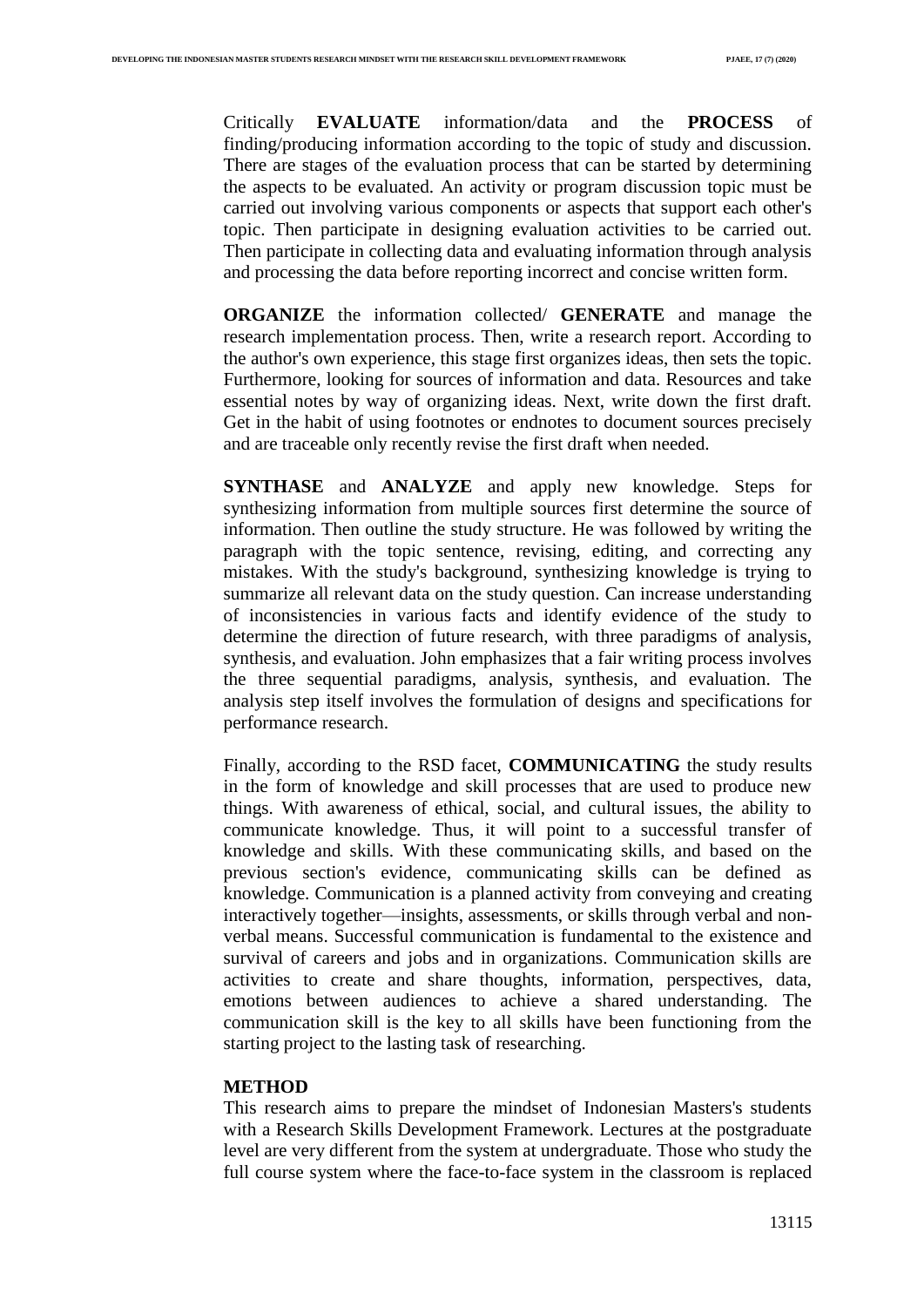Critically **EVALUATE** information/data and the **PROCESS** of finding/producing information according to the topic of study and discussion. There are stages of the evaluation process that can be started by determining the aspects to be evaluated. An activity or program discussion topic must be carried out involving various components or aspects that support each other's topic. Then participate in designing evaluation activities to be carried out. Then participate in collecting data and evaluating information through analysis and processing the data before reporting incorrect and concise written form.

**ORGANIZE** the information collected/ **GENERATE** and manage the research implementation process. Then, write a research report. According to the author's own experience, this stage first organizes ideas, then sets the topic. Furthermore, looking for sources of information and data. Resources and take essential notes by way of organizing ideas. Next, write down the first draft. Get in the habit of using footnotes or endnotes to document sources precisely and are traceable only recently revise the first draft when needed.

**SYNTHASE** and **ANALYZE** and apply new knowledge. Steps for synthesizing information from multiple sources first determine the source of information. Then outline the study structure. He was followed by writing the paragraph with the topic sentence, revising, editing, and correcting any mistakes. With the study's background, synthesizing knowledge is trying to summarize all relevant data on the study question. Can increase understanding of inconsistencies in various facts and identify evidence of the study to determine the direction of future research, with three paradigms of analysis, synthesis, and evaluation. John emphasizes that a fair writing process involves the three sequential paradigms, analysis, synthesis, and evaluation. The analysis step itself involves the formulation of designs and specifications for performance research.

Finally, according to the RSD facet, **COMMUNICATING** the study results in the form of knowledge and skill processes that are used to produce new things. With awareness of ethical, social, and cultural issues, the ability to communicate knowledge. Thus, it will point to a successful transfer of knowledge and skills. With these communicating skills, and based on the previous section's evidence, communicating skills can be defined as knowledge. Communication is a planned activity from conveying and creating interactively together—insights, assessments, or skills through verbal and nonverbal means. Successful communication is fundamental to the existence and survival of careers and jobs and in organizations. Communication skills are activities to create and share thoughts, information, perspectives, data, emotions between audiences to achieve a shared understanding. The communication skill is the key to all skills have been functioning from the starting project to the lasting task of researching.

#### **METHOD**

This research aims to prepare the mindset of Indonesian Masters's students with a Research Skills Development Framework. Lectures at the postgraduate level are very different from the system at undergraduate. Those who study the full course system where the face-to-face system in the classroom is replaced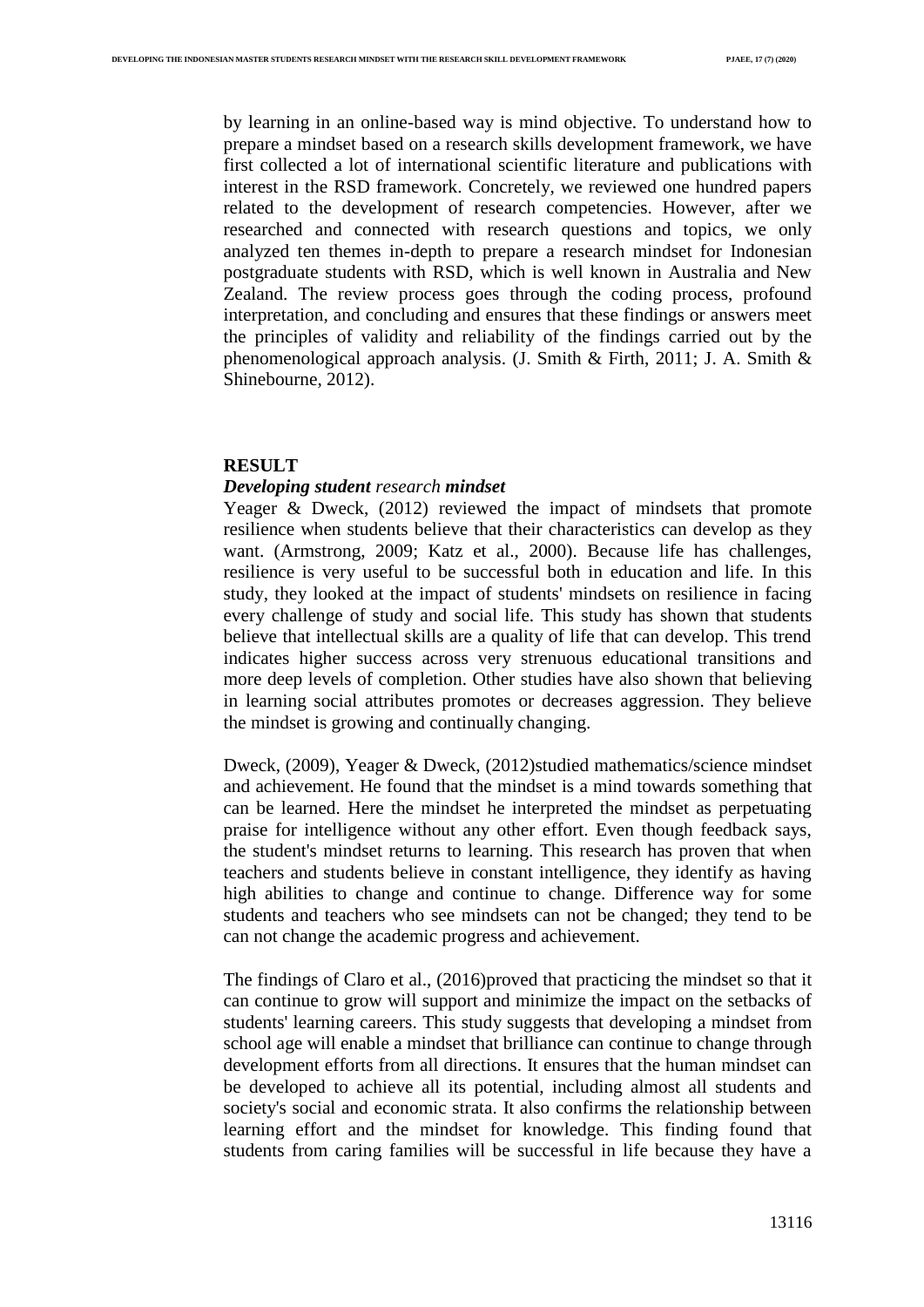by learning in an online-based way is mind objective. To understand how to prepare a mindset based on a research skills development framework, we have first collected a lot of international scientific literature and publications with interest in the RSD framework. Concretely, we reviewed one hundred papers related to the development of research competencies. However, after we researched and connected with research questions and topics, we only analyzed ten themes in-depth to prepare a research mindset for Indonesian postgraduate students with RSD, which is well known in Australia and New Zealand. The review process goes through the coding process, profound interpretation, and concluding and ensures that these findings or answers meet the principles of validity and reliability of the findings carried out by the phenomenological approach analysis. (J. Smith & Firth, 2011; J. A. Smith & Shinebourne, 2012).

# **RESULT**

# *Developing student research mindset*

Yeager & Dweck, (2012) reviewed the impact of mindsets that promote resilience when students believe that their characteristics can develop as they want. (Armstrong, 2009; Katz et al., 2000). Because life has challenges, resilience is very useful to be successful both in education and life. In this study, they looked at the impact of students' mindsets on resilience in facing every challenge of study and social life. This study has shown that students believe that intellectual skills are a quality of life that can develop. This trend indicates higher success across very strenuous educational transitions and more deep levels of completion. Other studies have also shown that believing in learning social attributes promotes or decreases aggression. They believe the mindset is growing and continually changing.

Dweck, (2009), Yeager & Dweck, (2012)studied mathematics/science mindset and achievement. He found that the mindset is a mind towards something that can be learned. Here the mindset he interpreted the mindset as perpetuating praise for intelligence without any other effort. Even though feedback says, the student's mindset returns to learning. This research has proven that when teachers and students believe in constant intelligence, they identify as having high abilities to change and continue to change. Difference way for some students and teachers who see mindsets can not be changed; they tend to be can not change the academic progress and achievement.

The findings of Claro et al., (2016)proved that practicing the mindset so that it can continue to grow will support and minimize the impact on the setbacks of students' learning careers. This study suggests that developing a mindset from school age will enable a mindset that brilliance can continue to change through development efforts from all directions. It ensures that the human mindset can be developed to achieve all its potential, including almost all students and society's social and economic strata. It also confirms the relationship between learning effort and the mindset for knowledge. This finding found that students from caring families will be successful in life because they have a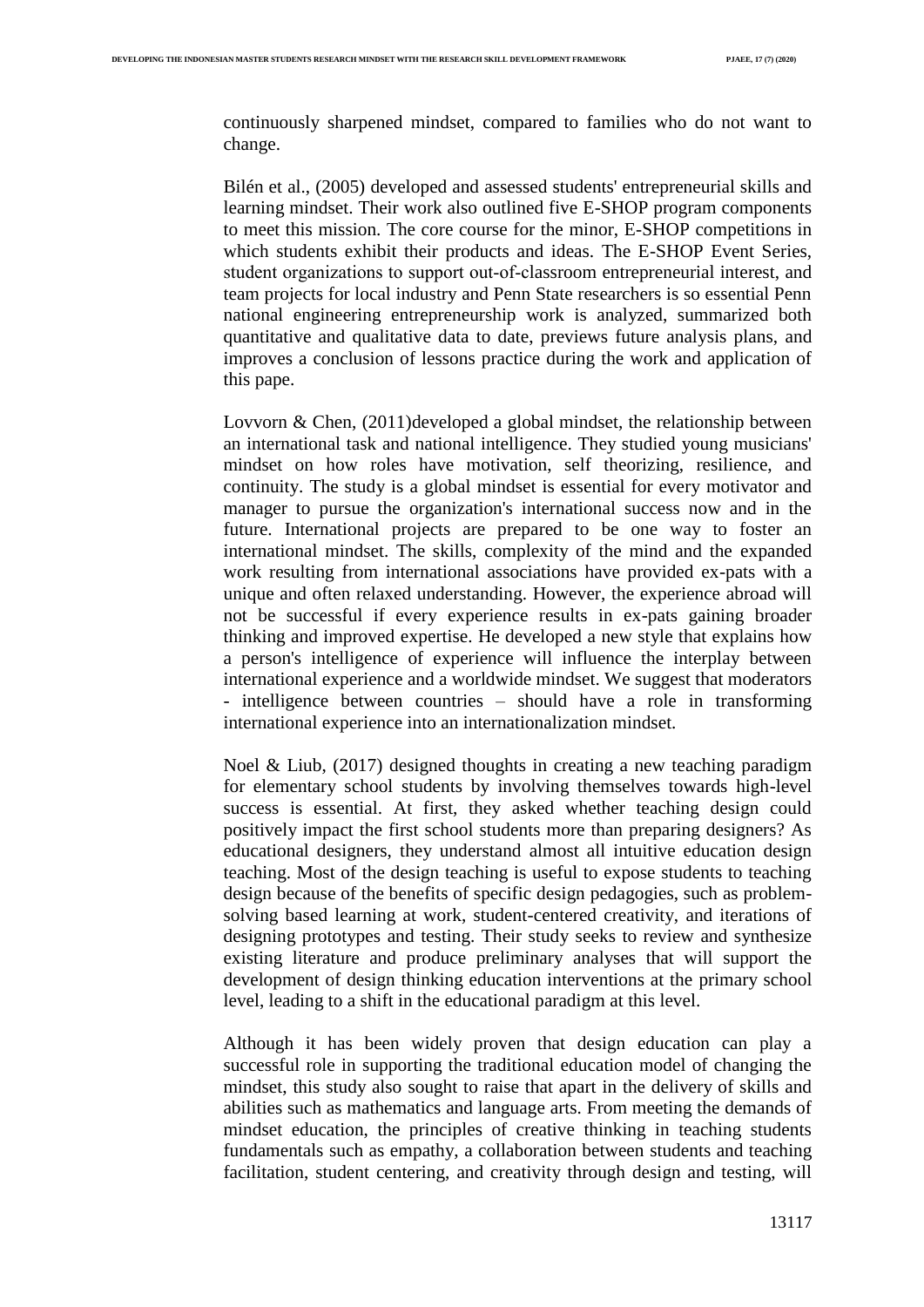continuously sharpened mindset, compared to families who do not want to change.

Bilén et al., (2005) developed and assessed students' entrepreneurial skills and learning mindset. Their work also outlined five E-SHOP program components to meet this mission. The core course for the minor, E-SHOP competitions in which students exhibit their products and ideas. The E-SHOP Event Series, student organizations to support out‐of‐classroom entrepreneurial interest, and team projects for local industry and Penn State researchers is so essential Penn national engineering entrepreneurship work is analyzed, summarized both quantitative and qualitative data to date, previews future analysis plans, and improves a conclusion of lessons practice during the work and application of this pape.

Lovvorn  $\&$  Chen, (2011)developed a global mindset, the relationship between an international task and national intelligence. They studied young musicians' mindset on how roles have motivation, self theorizing, resilience, and continuity. The study is a global mindset is essential for every motivator and manager to pursue the organization's international success now and in the future. International projects are prepared to be one way to foster an international mindset. The skills, complexity of the mind and the expanded work resulting from international associations have provided ex-pats with a unique and often relaxed understanding. However, the experience abroad will not be successful if every experience results in ex-pats gaining broader thinking and improved expertise. He developed a new style that explains how a person's intelligence of experience will influence the interplay between international experience and a worldwide mindset. We suggest that moderators - intelligence between countries – should have a role in transforming international experience into an internationalization mindset.

Noel & Liub,  $(2017)$  designed thoughts in creating a new teaching paradigm for elementary school students by involving themselves towards high-level success is essential. At first, they asked whether teaching design could positively impact the first school students more than preparing designers? As educational designers, they understand almost all intuitive education design teaching. Most of the design teaching is useful to expose students to teaching design because of the benefits of specific design pedagogies, such as problemsolving based learning at work, student-centered creativity, and iterations of designing prototypes and testing. Their study seeks to review and synthesize existing literature and produce preliminary analyses that will support the development of design thinking education interventions at the primary school level, leading to a shift in the educational paradigm at this level.

Although it has been widely proven that design education can play a successful role in supporting the traditional education model of changing the mindset, this study also sought to raise that apart in the delivery of skills and abilities such as mathematics and language arts. From meeting the demands of mindset education, the principles of creative thinking in teaching students fundamentals such as empathy, a collaboration between students and teaching facilitation, student centering, and creativity through design and testing, will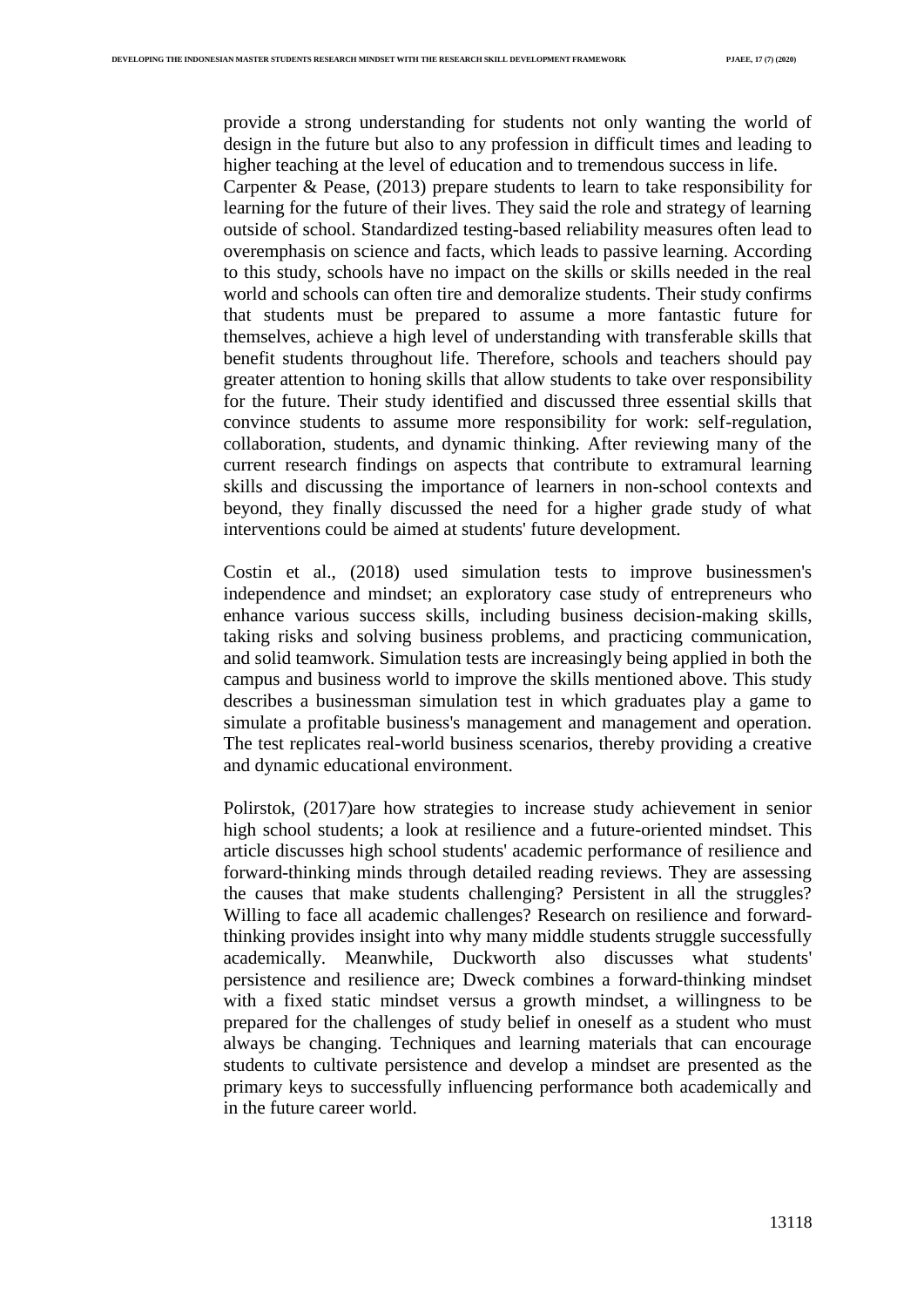provide a strong understanding for students not only wanting the world of design in the future but also to any profession in difficult times and leading to higher teaching at the level of education and to tremendous success in life.

Carpenter & Pease, (2013) prepare students to learn to take responsibility for learning for the future of their lives. They said the role and strategy of learning outside of school. Standardized testing-based reliability measures often lead to overemphasis on science and facts, which leads to passive learning. According to this study, schools have no impact on the skills or skills needed in the real world and schools can often tire and demoralize students. Their study confirms that students must be prepared to assume a more fantastic future for themselves, achieve a high level of understanding with transferable skills that benefit students throughout life. Therefore, schools and teachers should pay greater attention to honing skills that allow students to take over responsibility for the future. Their study identified and discussed three essential skills that convince students to assume more responsibility for work: self-regulation, collaboration, students, and dynamic thinking. After reviewing many of the current research findings on aspects that contribute to extramural learning skills and discussing the importance of learners in non-school contexts and beyond, they finally discussed the need for a higher grade study of what interventions could be aimed at students' future development.

Costin et al., (2018) used simulation tests to improve businessmen's independence and mindset; an exploratory case study of entrepreneurs who enhance various success skills, including business decision-making skills, taking risks and solving business problems, and practicing communication, and solid teamwork. Simulation tests are increasingly being applied in both the campus and business world to improve the skills mentioned above. This study describes a businessman simulation test in which graduates play a game to simulate a profitable business's management and management and operation. The test replicates real-world business scenarios, thereby providing a creative and dynamic educational environment.

Polirstok, (2017)are how strategies to increase study achievement in senior high school students; a look at resilience and a future-oriented mindset. This article discusses high school students' academic performance of resilience and forward-thinking minds through detailed reading reviews. They are assessing the causes that make students challenging? Persistent in all the struggles? Willing to face all academic challenges? Research on resilience and forwardthinking provides insight into why many middle students struggle successfully academically. Meanwhile, Duckworth also discusses what students' persistence and resilience are; Dweck combines a forward-thinking mindset with a fixed static mindset versus a growth mindset, a willingness to be prepared for the challenges of study belief in oneself as a student who must always be changing. Techniques and learning materials that can encourage students to cultivate persistence and develop a mindset are presented as the primary keys to successfully influencing performance both academically and in the future career world.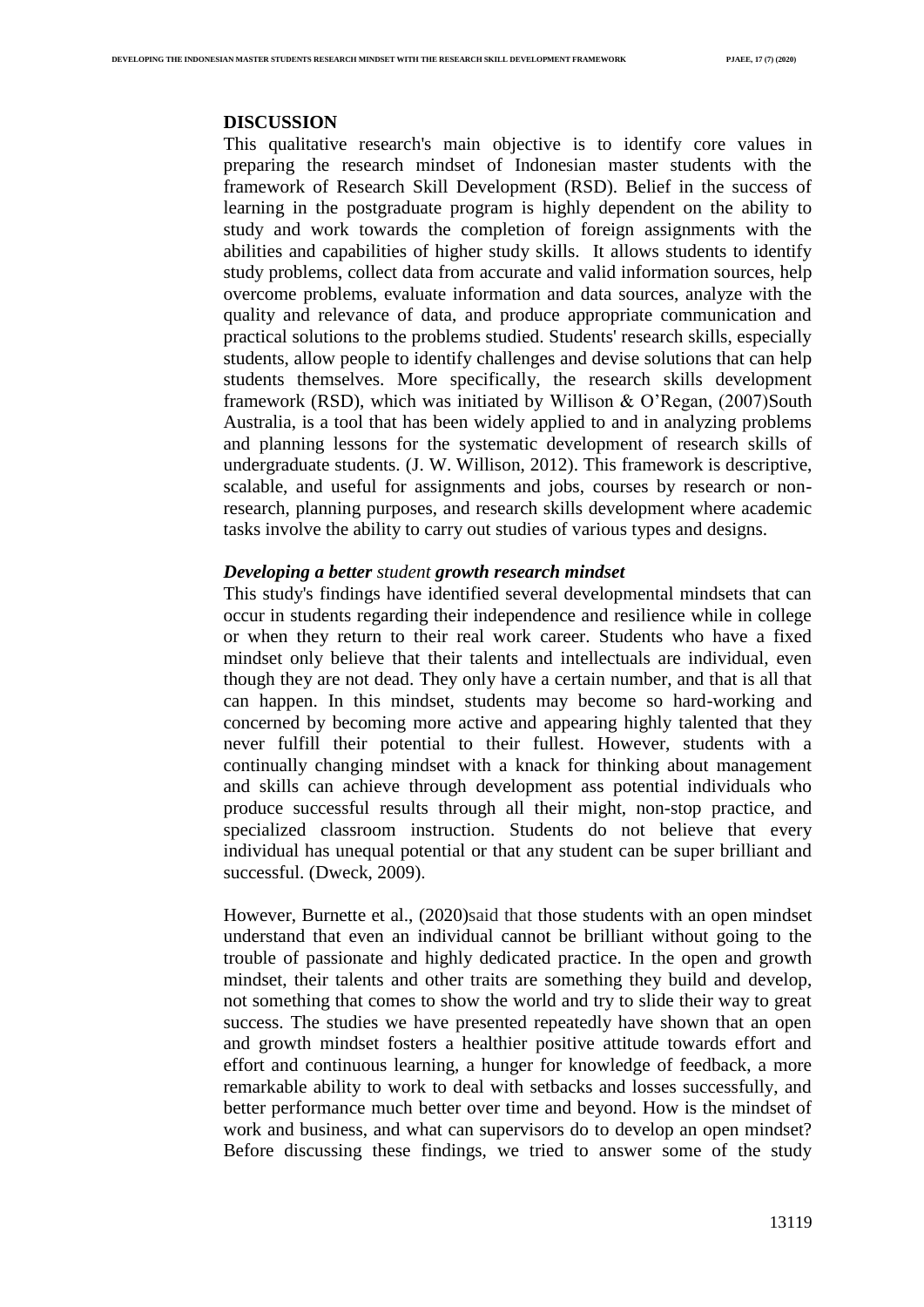#### **DISCUSSION**

This qualitative research's main objective is to identify core values in preparing the research mindset of Indonesian master students with the framework of Research Skill Development (RSD). Belief in the success of learning in the postgraduate program is highly dependent on the ability to study and work towards the completion of foreign assignments with the abilities and capabilities of higher study skills. It allows students to identify study problems, collect data from accurate and valid information sources, help overcome problems, evaluate information and data sources, analyze with the quality and relevance of data, and produce appropriate communication and practical solutions to the problems studied. Students' research skills, especially students, allow people to identify challenges and devise solutions that can help students themselves. More specifically, the research skills development framework (RSD), which was initiated by Willison & O'Regan, (2007)South Australia, is a tool that has been widely applied to and in analyzing problems and planning lessons for the systematic development of research skills of undergraduate students. (J. W. Willison, 2012). This framework is descriptive, scalable, and useful for assignments and jobs, courses by research or nonresearch, planning purposes, and research skills development where academic tasks involve the ability to carry out studies of various types and designs.

## *Developing a better student growth research mindset*

This study's findings have identified several developmental mindsets that can occur in students regarding their independence and resilience while in college or when they return to their real work career. Students who have a fixed mindset only believe that their talents and intellectuals are individual, even though they are not dead. They only have a certain number, and that is all that can happen. In this mindset, students may become so hard-working and concerned by becoming more active and appearing highly talented that they never fulfill their potential to their fullest. However, students with a continually changing mindset with a knack for thinking about management and skills can achieve through development ass potential individuals who produce successful results through all their might, non-stop practice, and specialized classroom instruction. Students do not believe that every individual has unequal potential or that any student can be super brilliant and successful. (Dweck, 2009).

However, Burnette et al., (2020)said that those students with an open mindset understand that even an individual cannot be brilliant without going to the trouble of passionate and highly dedicated practice. In the open and growth mindset, their talents and other traits are something they build and develop, not something that comes to show the world and try to slide their way to great success. The studies we have presented repeatedly have shown that an open and growth mindset fosters a healthier positive attitude towards effort and effort and continuous learning, a hunger for knowledge of feedback, a more remarkable ability to work to deal with setbacks and losses successfully, and better performance much better over time and beyond. How is the mindset of work and business, and what can supervisors do to develop an open mindset? Before discussing these findings, we tried to answer some of the study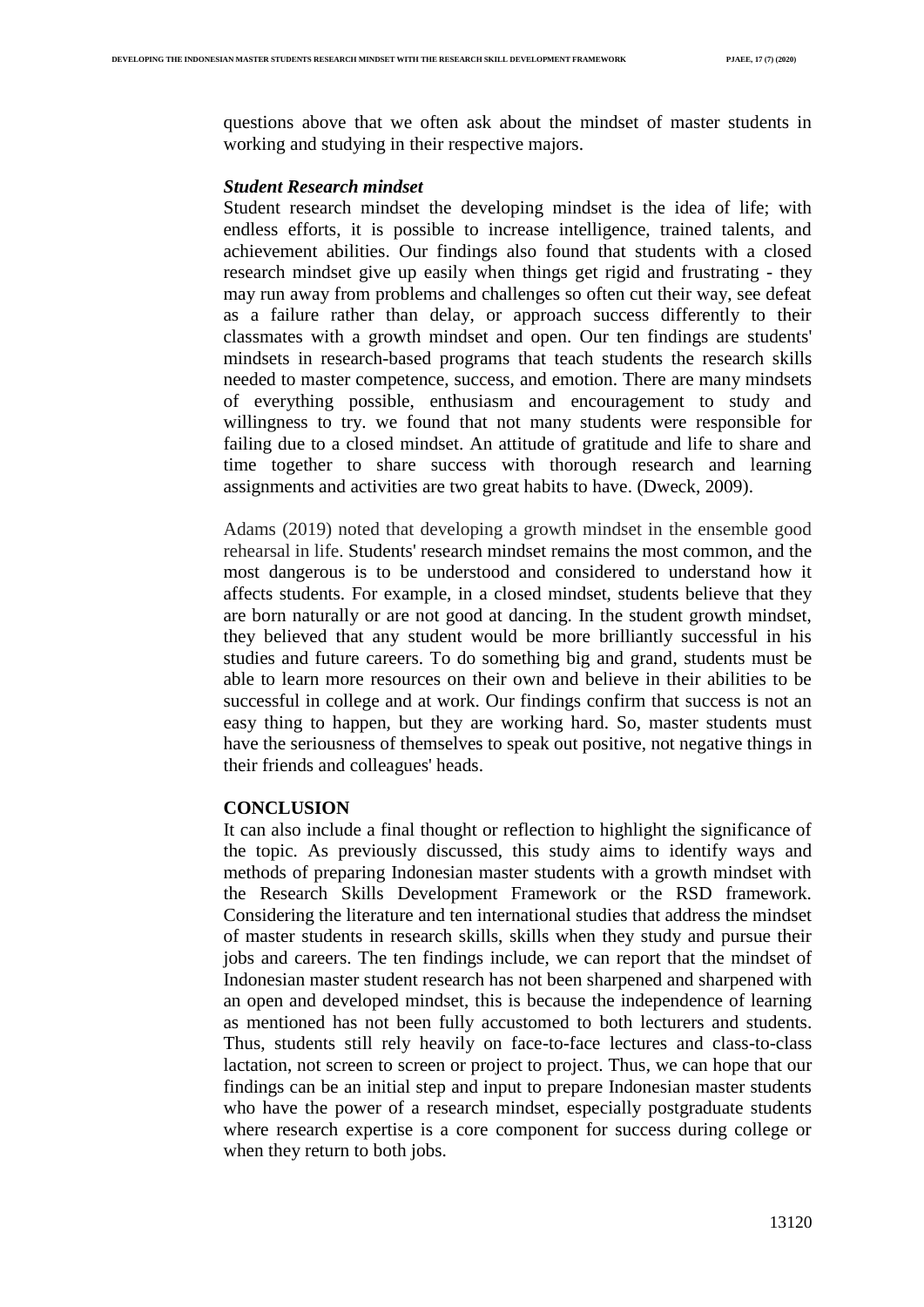questions above that we often ask about the mindset of master students in working and studying in their respective majors.

#### *Student Research mindset*

Student research mindset the developing mindset is the idea of life; with endless efforts, it is possible to increase intelligence, trained talents, and achievement abilities. Our findings also found that students with a closed research mindset give up easily when things get rigid and frustrating - they may run away from problems and challenges so often cut their way, see defeat as a failure rather than delay, or approach success differently to their classmates with a growth mindset and open. Our ten findings are students' mindsets in research-based programs that teach students the research skills needed to master competence, success, and emotion. There are many mindsets of everything possible, enthusiasm and encouragement to study and willingness to try. we found that not many students were responsible for failing due to a closed mindset. An attitude of gratitude and life to share and time together to share success with thorough research and learning assignments and activities are two great habits to have. (Dweck, 2009).

Adams (2019) noted that developing a growth mindset in the ensemble good rehearsal in life. Students' research mindset remains the most common, and the most dangerous is to be understood and considered to understand how it affects students. For example, in a closed mindset, students believe that they are born naturally or are not good at dancing. In the student growth mindset, they believed that any student would be more brilliantly successful in his studies and future careers. To do something big and grand, students must be able to learn more resources on their own and believe in their abilities to be successful in college and at work. Our findings confirm that success is not an easy thing to happen, but they are working hard. So, master students must have the seriousness of themselves to speak out positive, not negative things in their friends and colleagues' heads.

### **CONCLUSION**

It can also include a final thought or reflection to highlight the significance of the topic. As previously discussed, this study aims to identify ways and methods of preparing Indonesian master students with a growth mindset with the Research Skills Development Framework or the RSD framework. Considering the literature and ten international studies that address the mindset of master students in research skills, skills when they study and pursue their jobs and careers. The ten findings include, we can report that the mindset of Indonesian master student research has not been sharpened and sharpened with an open and developed mindset, this is because the independence of learning as mentioned has not been fully accustomed to both lecturers and students. Thus, students still rely heavily on face-to-face lectures and class-to-class lactation, not screen to screen or project to project. Thus, we can hope that our findings can be an initial step and input to prepare Indonesian master students who have the power of a research mindset, especially postgraduate students where research expertise is a core component for success during college or when they return to both jobs.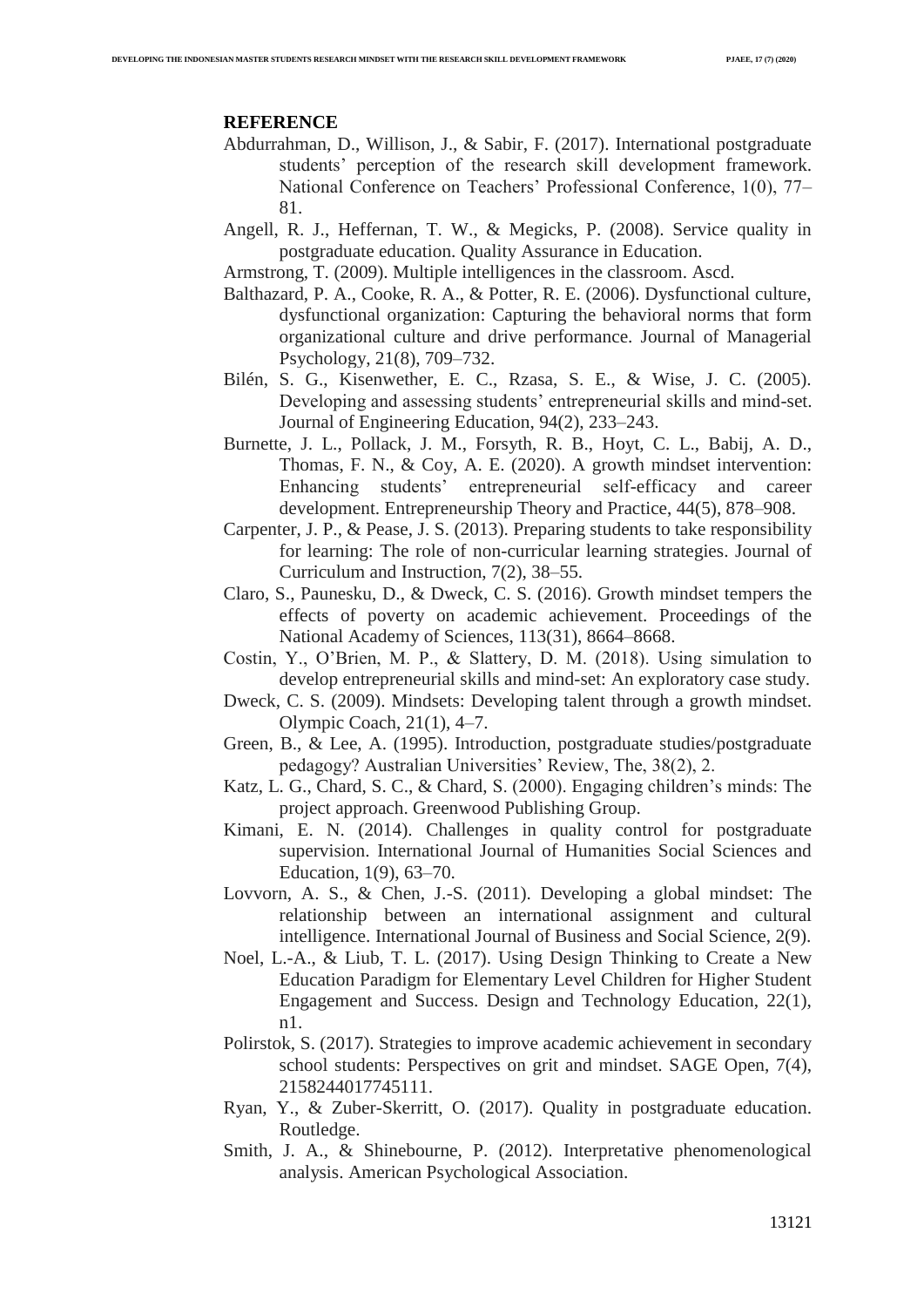#### **REFERENCE**

- Abdurrahman, D., Willison, J., & Sabir, F. (2017). International postgraduate students' perception of the research skill development framework. National Conference on Teachers' Professional Conference, 1(0), 77– 81.
- Angell, R. J., Heffernan, T. W., & Megicks, P. (2008). Service quality in postgraduate education. Quality Assurance in Education.
- Armstrong, T. (2009). Multiple intelligences in the classroom. Ascd.
- Balthazard, P. A., Cooke, R. A., & Potter, R. E. (2006). Dysfunctional culture, dysfunctional organization: Capturing the behavioral norms that form organizational culture and drive performance. Journal of Managerial Psychology, 21(8), 709–732.
- Bilén, S. G., Kisenwether, E. C., Rzasa, S. E., & Wise, J. C. (2005). Developing and assessing students' entrepreneurial skills and mind-set. Journal of Engineering Education, 94(2), 233–243.
- Burnette, J. L., Pollack, J. M., Forsyth, R. B., Hoyt, C. L., Babij, A. D., Thomas, F. N., & Coy, A. E. (2020). A growth mindset intervention: Enhancing students' entrepreneurial self-efficacy and career development. Entrepreneurship Theory and Practice, 44(5), 878–908.
- Carpenter, J. P., & Pease, J. S. (2013). Preparing students to take responsibility for learning: The role of non-curricular learning strategies. Journal of Curriculum and Instruction, 7(2), 38–55.
- Claro, S., Paunesku, D., & Dweck, C. S. (2016). Growth mindset tempers the effects of poverty on academic achievement. Proceedings of the National Academy of Sciences, 113(31), 8664–8668.
- Costin, Y., O'Brien, M. P., & Slattery, D. M. (2018). Using simulation to develop entrepreneurial skills and mind-set: An exploratory case study.
- Dweck, C. S. (2009). Mindsets: Developing talent through a growth mindset. Olympic Coach, 21(1), 4–7.
- Green, B., & Lee, A. (1995). Introduction, postgraduate studies/postgraduate pedagogy? Australian Universities' Review, The, 38(2), 2.
- Katz, L. G., Chard, S. C., & Chard, S. (2000). Engaging children's minds: The project approach. Greenwood Publishing Group.
- Kimani, E. N. (2014). Challenges in quality control for postgraduate supervision. International Journal of Humanities Social Sciences and Education, 1(9), 63–70.
- Lovvorn, A. S., & Chen, J.-S. (2011). Developing a global mindset: The relationship between an international assignment and cultural intelligence. International Journal of Business and Social Science, 2(9).
- Noel, L.-A., & Liub, T. L. (2017). Using Design Thinking to Create a New Education Paradigm for Elementary Level Children for Higher Student Engagement and Success. Design and Technology Education, 22(1), n1.
- Polirstok, S. (2017). Strategies to improve academic achievement in secondary school students: Perspectives on grit and mindset. SAGE Open, 7(4), 2158244017745111.
- Ryan, Y., & Zuber-Skerritt, O. (2017). Quality in postgraduate education. Routledge.
- Smith, J. A., & Shinebourne, P. (2012). Interpretative phenomenological analysis. American Psychological Association.